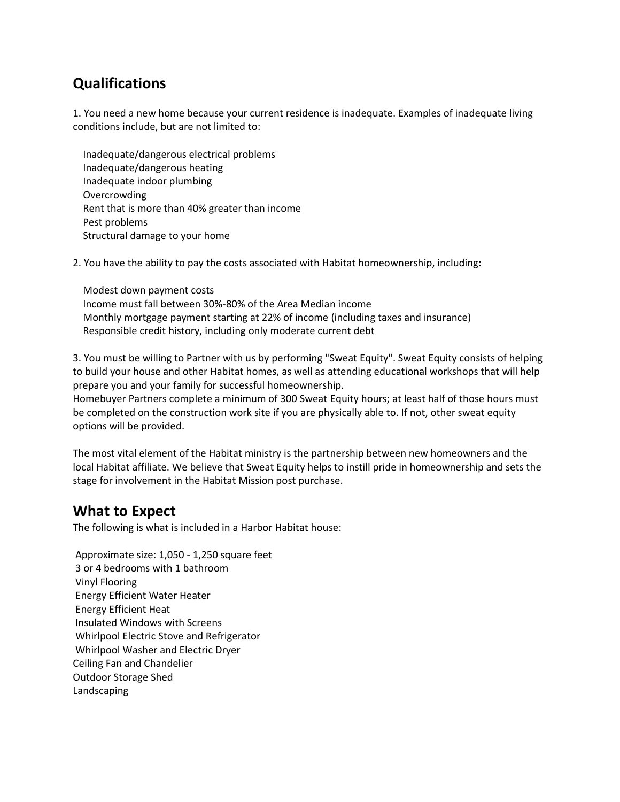# **Qualifications**

1. You need a new home because your current residence is inadequate. Examples of inadequate living conditions include, but are not limited to:

 Inadequate/dangerous electrical problems Inadequate/dangerous heating Inadequate indoor plumbing Overcrowding Rent that is more than 40% greater than income Pest problems Structural damage to your home

2. You have the ability to pay the costs associated with Habitat homeownership, including:

 Modest down payment costs Income must fall between 30%-80% of the Area Median income Monthly mortgage payment starting at 22% of income (including taxes and insurance) Responsible credit history, including only moderate current debt

3. You must be willing to Partner with us by performing "Sweat Equity". Sweat Equity consists of helping to build your house and other Habitat homes, as well as attending educational workshops that will help prepare you and your family for successful homeownership.

Homebuyer Partners complete a minimum of 300 Sweat Equity hours; at least half of those hours must be completed on the construction work site if you are physically able to. If not, other sweat equity options will be provided.

The most vital element of the Habitat ministry is the partnership between new homeowners and the local Habitat affiliate. We believe that Sweat Equity helps to instill pride in homeownership and sets the stage for involvement in the Habitat Mission post purchase.

#### **What to Expect**

The following is what is included in a Harbor Habitat house:

Approximate size: 1,050 - 1,250 square feet 3 or 4 bedrooms with 1 bathroom Vinyl Flooring Energy Efficient Water Heater Energy Efficient Heat Insulated Windows with Screens Whirlpool Electric Stove and Refrigerator Whirlpool Washer and Electric Dryer Ceiling Fan and Chandelier Outdoor Storage Shed Landscaping